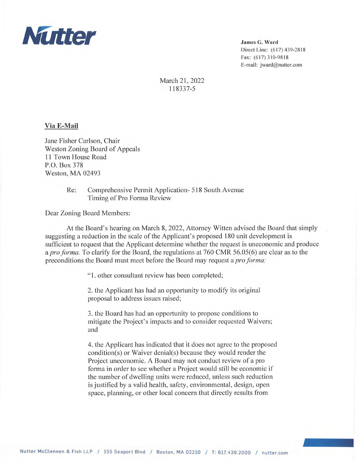

James G. Ward Direct Line: (617) 439-2818 Fax: (617) 310-9818 E-mail: jward@nutter.com

March 21, 2022 118337-5

## Via E-Mail

Jane Fisher Carlson, Chair Weston Zoning Board of Appeals 11 Town House Road P.O. Box 378 Weston, MA 02493

> Re: Comprehensive Permit Application- 518 South Avenue Timing of Pro Forma Review

Dear Zoning Board Members:

At the Board's hearing on March 8, 2022, Attorney Witten advised the Board that simply suggesting a reduction in the scale of the Applicant's proposed 180 unit development is sufficient to request that the Applicant determine whether the request is uneconomic and produce a pro forma. To clarify for the Board, the regulations at 760 CMR 56.05(6) are clear as to the preconditions the Board must meet before the Board may request a *pro forma*:

"1. other consultant review has been completed;

2. the Applicant has had an opportunity to modify its original proposal to address issues raised;

3. the Board has had an opportunity to propose conditions to mitigate the Project's impacts and to consider requested Waivers; and

4. the Applicant has indicated that it does not agree to the proposed condition(s) or Waiver denial(s) because they would render the Project uneconomic. A Board may not conduct review of a pro forma in order to see whether a Project would still be economic if the number of dwelling units were reduced, unless such reduction is justified by a valid health, safety, environmental, design, open space, planning, or other local concern that directly results from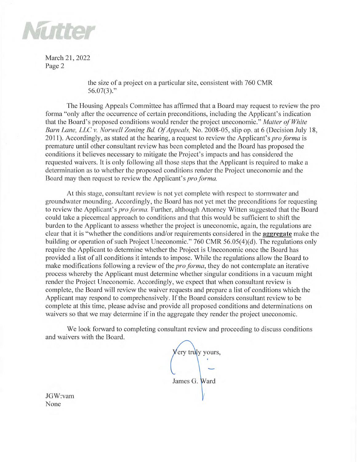

March 21, 2022 Page 2

> the size of a project on a particular site, consistent with 760 CMR  $56.07(3)$ ."

The Housing Appeals Committee has affirmed that a Board may request to review the pro forma "only after the occurrence of certain preconditions, including the Applicant's indication that the Board's proposed conditions would render the project uneconomic." Matter of White Barn Lane, LLC v. Norwell Zoning Bd. Of Appeals, No. 2008-05, slip op. at 6 (Decision July 18, 2011). Accordingly, as stated at the hearing, a request to review the Applicant's *pro forma* is premature until other consultant review has been completed and the Board has proposed the conditions it believes necessary to mitigate the Project's impacts and has considered the requested waivers. It is only following all those steps that the Applicant is required to make a determination as to whether the proposed conditions render the Project uneconomic and the Board may then request to review the Applicant's pro forma.

At this stage, consultant review is not yet complete with respect to stormwater and groundwater mounding. Accordingly, the Board has not yet met the preconditions for requesting to review the Applicant's pro forma. Further, although Attorney Witten suggested that the Board could take a piecemeal approach to conditions and that this would be sufficient to shift the burden to the Applicant to assess whether the project is uneconomic, again, the regulations are clear that it is "whether the conditions and/or requirements considered in the aggregate make the building or operation of such Project Uneconomic." 760 CMR 56.05(4)(d). The regulations only require the Applicant to determine whether the Project is Uneconomic once the Board has provided a list of all conditions it intends to impose. While the regulations allow the Board to make modifications following a review of the *pro forma*, they do not contemplate an iterative process whereby the Applicant must determine whether singular conditions in a vacuum might render the Project Uneconomic. Accordingly, we expect that when consultant review is complete, the Board will review the waiver requests and prepare a list of conditions which the Applicant may respond to comprehensively. If the Board considers consultant review to be complete at this time, please advise and provide all proposed conditions and determinations on waivers so that we may determine if in the aggregate they render the project uneconomic.

We look forward to completing consultant review and proceeding to discuss conditions and waivers with the Board.

'ery truly yours, James G. Ward

JGW:vam None